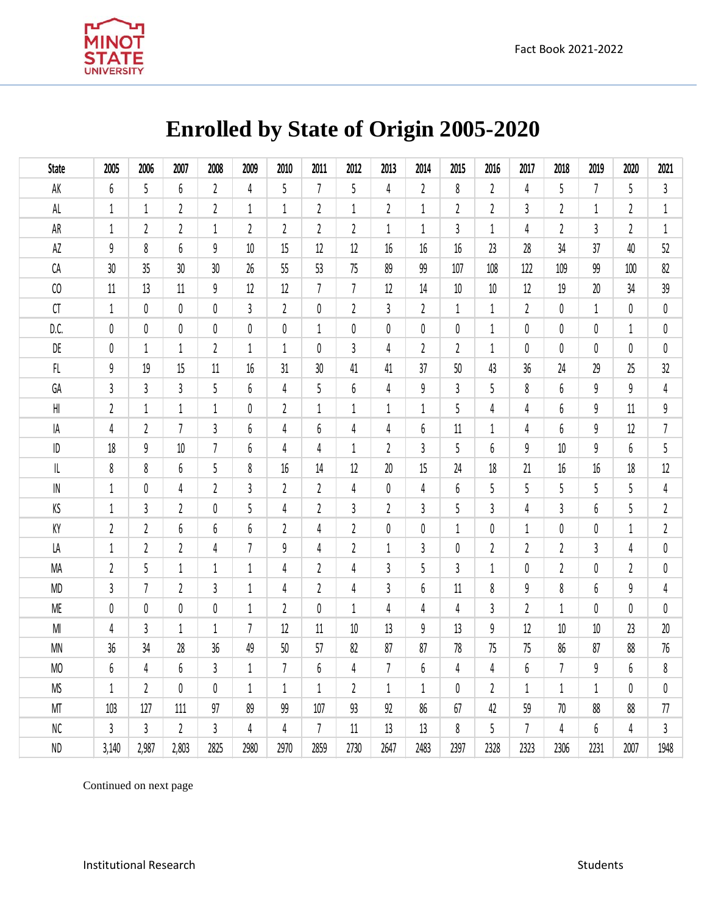

## **Enrolled by State of Origin 2005-2020**

| <b>State</b>                      | 2005             | 2006                    | 2007             | 2008           | 2009             | 2010           | 2011           | 2012           | 2013           | 2014           | 2015           | 2016           | 2017           | 2018           | 2019           | 2020           | 2021           |
|-----------------------------------|------------------|-------------------------|------------------|----------------|------------------|----------------|----------------|----------------|----------------|----------------|----------------|----------------|----------------|----------------|----------------|----------------|----------------|
| AK                                | 6                | 5                       | 6                | $\mathbf{2}$   | 4                | 5              | $\overline{7}$ | 5              | 4              | $\overline{2}$ | 8              | $\mathbf{2}$   | 4              | 5              | $\overline{7}$ | 5              | $\mathbf{3}$   |
| $\mathsf{AL}$                     | $1\,$            | $1\,$                   | $\mathfrak z$    | $\mathfrak z$  | $\mathbf{1}$     | $\mathbf{1}$   | $\overline{2}$ | $\mathbf{1}$   | $\overline{2}$ | $\mathbf{1}$   | $\overline{2}$ | $\overline{2}$ | 3              | $\overline{2}$ | $\mathbf{1}$   | $\overline{2}$ | $\mathbf{1}$   |
| AR                                | $1\,$            | $\overline{2}$          | $\overline{2}$   | $\mathbf{1}$   | $\overline{2}$   | $\mathfrak{c}$ | $\mathfrak{c}$ | $\mathfrak{c}$ | $\mathbf{1}$   | $\mathbf{1}$   | $\overline{3}$ | $\mathbf 1$    | 4              | $\overline{2}$ | $\overline{3}$ | $\mathfrak{c}$ | $\mathbf 1$    |
| $\mathsf{A}\mathsf{Z}$            | 9                | 8                       | 6                | 9              | $10\,$           | 15             | $12$           | $12\,$         | 16             | 16             | 16             | 23             | 28             | 34             | 37             | 40             | 52             |
| CA                                | 30               | 35                      | 30               | 30             | 26               | 55             | 53             | 75             | 89             | 99             | 107            | 108            | 122            | 109            | 99             | 100            | 82             |
| C <sub>0</sub>                    | 11               | 13                      | 11               | 9              | 12               | 12             | $\overline{7}$ | 7              | 12             | 14             | 10             | 10             | 12             | 19             | 20             | 34             | 39             |
| ${\sf CT}$                        | $1\,$            | 0                       | $\pmb{0}$        | $\pmb{0}$      | $\mathfrak{z}$   | $\overline{2}$ | 0              | $\overline{2}$ | $\overline{3}$ | $\overline{2}$ | $\mathbf{1}$   | $\mathbf{1}$   | $\overline{2}$ | 0              | $\mathbf{1}$   | 0              | $\pmb{0}$      |
| D.C.                              | $\pmb{0}$        | $\pmb{0}$               | $\pmb{0}$        | $\pmb{0}$      | 0                | 0              | $\mathbf 1$    | 0              | 0              | 0              | $\pmb{0}$      | 1              | $\pmb{0}$      | 0              | 0              | $\mathbf{1}$   | 0              |
| DE                                | $\theta$         | $\mathbf{1}$            | $\mathbf 1$      | $\overline{2}$ | $\mathbf{1}$     | $\mathbf{1}$   | 0              | 3              | $\overline{4}$ | $\overline{2}$ | $\overline{2}$ | $\mathbf{1}$   | 0              | 0              | 0              | 0              | $\pmb{0}$      |
| $\mathsf{FL}$                     | 9                | 19                      | 15               | $11\,$         | 16               | 31             | 30             | 41             | 41             | 37             | 50             | 43             | 36             | 24             | 29             | 25             | 32             |
| GA                                | $\mathbf{3}$     | 3                       | $\mathfrak{z}$   | 5              | 6                | 4              | 5              | 6              | 4              | 9              | $\overline{3}$ | 5              | 8              | 6              | 9              | 9              | $\sqrt{4}$     |
| H                                 | $\overline{2}$   | $\mathbf{1}$            | $1\,$            | $1\,$          | 0                | 2              | $\mathbf{1}$   | $\mathbf{1}$   | $\mathbf 1$    | 1              | 5              | 4              | 4              | 6              | 9              | 11             | $\mathsf g$    |
| ΙA                                | 4                | $\overline{2}$          | $\overline{7}$   | $\overline{3}$ | 6                | 4              | 6              | 4              | 4              | 6              | 11             | 1              | 4              | 6              | 9              | 12             | $\overline{7}$ |
| $\sf ID$                          | 18               | $\mathsf g$             | 10               | $\overline{7}$ | 6                | 4              | 4              | $\mathbf{1}$   | $\overline{2}$ | 3              | 5              | 6              | 9              | 10             | 9              | 6              | 5              |
| $\ensuremath{\mathsf{IL}}\xspace$ | 8                | 8                       | $\boldsymbol{6}$ | 5              | 8                | $16\,$         | 14             | 12             | 20             | 15             | 24             | 18             | 21             | 16             | $16\,$         | 18             | $12\,$         |
| ${\sf IN}$                        | $\mathbf{1}$     | $\pmb{0}$               | $\sqrt{4}$       | $\mathfrak z$  | $\mathfrak{z}$   | 2              | $\overline{2}$ | 4              | 0              | 4              | 6              | 5              | 5              | 5              | 5              | 5              | 4              |
| ΚS                                | $\mathbf{1}$     | 3                       | $\overline{2}$   | $\pmb{0}$      | 5                | 4              | $\overline{2}$ | 3              | $\overline{2}$ | 3              | 5              | 3              | 4              | $\mathfrak{Z}$ | 6              | 5              | $\mathfrak z$  |
| KY                                | $\sqrt{2}$       | $\overline{\mathbf{c}}$ | $\boldsymbol{6}$ | 6              | $\boldsymbol{6}$ | 2              | 4              | 2              | 0              | 0              | $\mathbf{1}$   | 0              | $\mathbf{1}$   | 0              | 0              | 1              | $\overline{2}$ |
| LA                                | $\mathbf{1}$     | $\overline{2}$          | $\overline{2}$   | 4              | $\overline{7}$   | 9              | 4              | $\mathfrak{c}$ | 1              | 3              | $\pmb{0}$      | 2              | $\mathfrak z$  | 2              | 3              | 4              | 0              |
| MA                                | $\sqrt{2}$       | 5                       | $\,1\,$          | $\mathbf 1$    | $\mathbf 1$      | 4              | $\overline{2}$ | 4              | $\mathfrak{z}$ | 5              | $\overline{3}$ | $1\,$          | 0              | 2              | 0              | $\overline{2}$ | $\pmb{0}$      |
| MD                                | 3                | $\overline{7}$          | $\overline{2}$   | 3              | $\mathbf 1$      | 4              | $\overline{2}$ | 4              | $\overline{3}$ | 6              | 11             | 8              | 9              | 8              | 6              | 9              | 4              |
| <b>ME</b>                         | $\pmb{0}$        | $\pmb{0}$               | $\pmb{0}$        | $\pmb{0}$      | $\mathbf{1}$     | 2              | 0              | $\mathbf{1}$   | $\overline{4}$ | 4              | $\overline{4}$ | 3              | $\overline{2}$ | $\mathbf{1}$   | 0              | 0              | $\pmb{0}$      |
| $\mathsf{M}\mathsf{l}$            | $\overline{4}$   | 3                       | $1\,$            | $\mathbf 1$    | $\overline{7}$   | 12             | 11             | 10             | 13             | 9              | 13             | 9              | 12             | 10             | 10             | 23             | $20\,$         |
| <b>MN</b>                         | 36               | 34                      | 28               | 36             | 49               | $50\,$         | 57             | 82             | 87             | 87             | 78             | 75             | 75             | 86             | 87             | 88             | 76             |
| MO                                | $\boldsymbol{6}$ | 4                       | $\boldsymbol{6}$ | 3              | $\mathbf{1}$     | $\overline{7}$ | 6              | 4              | $\overline{7}$ | 6              | $\sqrt{4}$     | 4              | 6              | $\overline{7}$ | 9              | 6              | 8              |
| <b>MS</b>                         | $\mathbf{1}$     | $\overline{2}$          | 0                | 0              | $\mathbf{1}$     | $\mathbf{1}$   | $\mathbf{1}$   | $\overline{2}$ | $\mathbf 1$    | $\mathbf{1}$   | 0              | 2              | $\mathbf{1}$   | $\mathbf{1}$   | $\mathbf{1}$   | 0              | $\pmb{0}$      |
| MT                                | 103              | 127                     | 111              | 97             | 89               | 99             | 107            | 93             | 92             | 86             | 67             | 42             | 59             | 70             | 88             | 88             | 77             |
| NC                                | $\mathfrak{z}$   | $\overline{3}$          | $\mathbf{2}$     | $\overline{3}$ | 4                | 4              | $\overline{7}$ | 11             | 13             | 13             | 8              | 5              | $\overline{7}$ | 4              | 6              | 4              | $\mathfrak{z}$ |
| <b>ND</b>                         | 3,140            | 2,987                   | 2,803            | 2825           | 2980             | 2970           | 2859           | 2730           | 2647           | 2483           | 2397           | 2328           | 2323           | 2306           | 2231           | 2007           | 1948           |

Continued on next page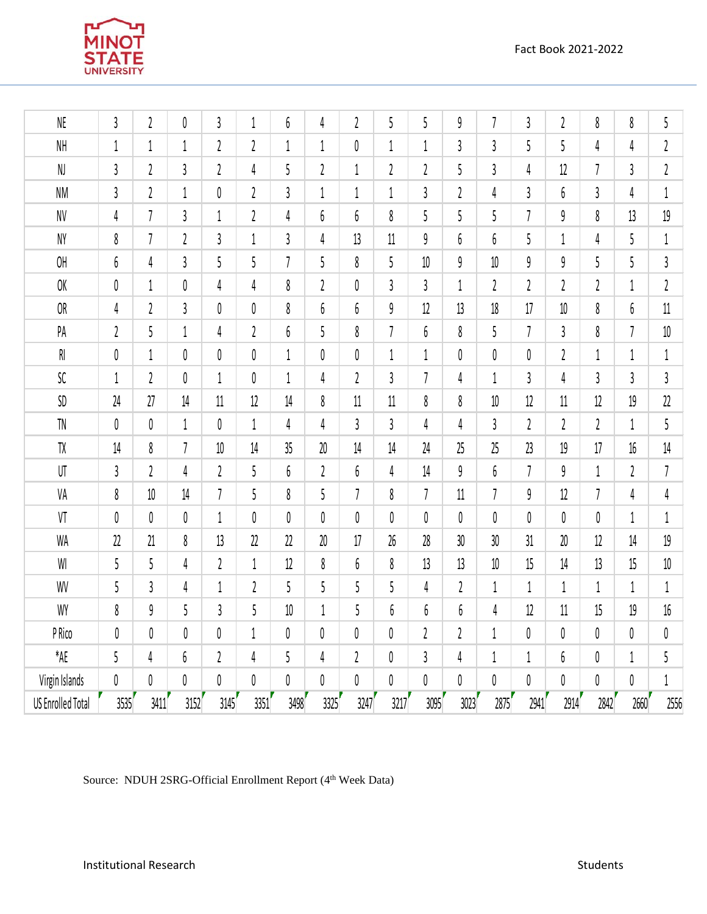

| NE                                               | $\mathbf{3}$            | $\sqrt{2}$     | $\pmb{0}$        | 3                       | $\mathbf{1}$     | 6              | 4              | $\sqrt{2}$    | 5                | 5              | 9                       | $\overline{1}$ | 3                        | $\boldsymbol{2}$ | 8              | 8              | 5              |
|--------------------------------------------------|-------------------------|----------------|------------------|-------------------------|------------------|----------------|----------------|---------------|------------------|----------------|-------------------------|----------------|--------------------------|------------------|----------------|----------------|----------------|
| $\mathsf{NH}% _{k}\left( \mathcal{M}_{k}\right)$ | $\mathbf{1}$            | $1\,$          | $\,1\,$          | $\overline{\mathbf{c}}$ | $\boldsymbol{2}$ | $1\,$          | 1              | $\pmb{0}$     | 1                | $\mathbf 1$    | 3                       | $\overline{3}$ | 5                        | 5                | 4              | 4              | $\overline{2}$ |
| NJ                                               | $\mathfrak{z}$          | $\sqrt{2}$     | $\mathfrak{z}$   | $\boldsymbol{2}$        | 4                | 5              | $\mathfrak z$  | $\mathbf{1}$  | $\boldsymbol{2}$ | $\mathfrak z$  | 5                       | 3              | 4                        | 12               | $\overline{1}$ | 3              | $\mathfrak z$  |
| <b>NM</b>                                        | $\mathfrak{z}$          | $\sqrt{2}$     | $\,1\,$          | 0                       | $\sqrt{2}$       | 3              | 1              | $\mathbf{1}$  | 1                | $\mathfrak{z}$ | $\overline{\mathbf{c}}$ | 4              | 3                        | 6                | $\mathfrak{z}$ | 4              | $\,1$          |
| $\textsf{NV}$                                    | 4                       | $\overline{1}$ | $\mathfrak{z}$   | $1\,$                   | $\mathfrak z$    | 4              | 6              | 6             | 8                | 5              | 5                       | 5              | $\overline{1}$           | 9                | 8              | 13             | 19             |
| NY                                               | 8                       | $\overline{1}$ | $\sqrt{2}$       | $\mathfrak z$           | $1\,$            | 3              | 4              | 13            | 11               | $\mathfrak g$  | 6                       | 6              | 5                        | $\mathbf{1}$     | 4              | 5              | $\mathbf{1}$   |
| OH                                               | $\boldsymbol{6}$        | 4              | $\sqrt{3}$       | 5                       | 5                | $\overline{1}$ | 5              | 8             | 5                | 10             | 9                       | $10\,$         | 9                        | 9                | 5              | 5              | $\mathfrak z$  |
| OK                                               | $\pmb{0}$               | $1\,$          | $\pmb{0}$        | 4                       | 4                | 8              | $\mathfrak z$  | 0             | 3                | 3              | $\mathbf 1$             | $\mathfrak z$  | 2                        | $\mathfrak 2$    | $\overline{2}$ | 1              | $\mathfrak z$  |
| <b>OR</b>                                        | 4                       | $\mathfrak z$  | $\mathfrak{z}$   | 0                       | $\pmb{0}$        | 8              | 6              | 6             | 9                | 12             | 13                      | 18             | 17                       | $10$             | 8              | 6              | $11$           |
| PA                                               | $\overline{\mathbf{c}}$ | 5              | $\,1\,$          | 4                       | $\mathfrak z$    | 6              | 5              | 8             | 7                | 6              | 8                       | 5              | $\overline{\phantom{a}}$ | 3                | 8              | $\overline{1}$ | $10\,$         |
| $\mathsf{RI}$                                    | $\pmb{0}$               | $1\,$          | $\pmb{0}$        | 0                       | $\pmb{0}$        | $1\,$          | 0              | $\pmb{0}$     | $\mathbf 1$      | $1\,$          | 0                       | 0              | 0                        | $\mathfrak z$    | $\mathbf 1$    | $\mathbf 1$    | $1\,$          |
| ${\sf SC}$                                       | $1\,$                   | $\sqrt{2}$     | $\pmb{0}$        | $1\,$                   | 0                | $1\,$          | 4              | $\mathfrak z$ | $\mathfrak{z}$   | $\overline{7}$ | 4                       | $\mathbf 1$    | 3                        | 4                | 3              | $\mathfrak{z}$ | $\mathfrak z$  |
| $\mathsf{SD}$                                    | 24                      | 27             | 14               | 11                      | $12$             | 14             | 8              | 11            | 11               | 8              | 8                       | $10\,$         | 12                       | 11               | 12             | 19             | 22             |
| ${\sf TN}$                                       | $\pmb{0}$               | $\pmb{0}$      | $\mathbf{1}$     | 0                       | $1\,$            | 4              | $\overline{4}$ | 3             | 3                | 4              | 4                       | 3              | $\mathfrak 2$            | $\mathfrak{c}$   | $\mathfrak{c}$ | $1\,$          | 5              |
| ${\sf TX}$                                       | $14\,$                  | 8              | $\overline{1}$   | 10                      | $14$             | 35             | $20\,$         | 14            | 14               | 24             | 25                      | 25             | 23                       | 19               | 17             | 16             | 14             |
| UT                                               | $\mathfrak{z}$          | $\sqrt{2}$     | $\sqrt{4}$       | $\mathfrak{c}$          | 5                | 6              | $\mathfrak z$  | 6             | 4                | 14             | 9                       | 6              | $\overline{1}$           | 9                | $\mathbf{1}$   | $\mathfrak z$  | $\overline{1}$ |
| VA                                               | 8                       | $10\,$         | 14               | $\overline{1}$          | 5                | 8              | 5              | 7             | 8                | $\overline{1}$ | 11                      | $\overline{1}$ | 9                        | 12               | $\overline{1}$ | 4              | 4              |
| VT                                               | $\pmb{0}$               | $\pmb{0}$      | $\pmb{0}$        | $1\,$                   | $\pmb{0}$        | 0              | 0              | 0             | $\pmb{0}$        | 0              | 0                       | 0              | 0                        | 0                | $\pmb{0}$      | $\mathbf 1$    | $1\,$          |
| WA                                               | 22                      | 21             | 8                | 13                      | 22               | 22             | $20\,$         | 17            | 26               | 28             | 30                      | 30             | 31                       | 20               | 12             | $14$           | 19             |
| $\ensuremath{\mathsf{W}}\xspace$                 | 5                       | 5              | 4                | $\mathfrak z$           | $1\,$            | $12$           | 8              | 6             | 8                | 13             | 13                      | $10\,$         | 15                       | 14               | 13             | 15             | $10\,$         |
| WV                                               | 5                       | $\mathfrak{z}$ | 4                | $1\,$                   | $\sqrt{2}$       | 5              | 5              | 5             | 5                | 4              | $\overline{2}$          | $\mathbf 1$    | $\mathbf 1$              | $\mathbf{1}$     | $\mathbf 1$    | $\mathbf{1}$   | $1\,$          |
| WY                                               | 8                       | $\mathfrak g$  | 5                | 3                       | 5                | $10\,$         | $1\,$          | 5             | 6                | 6              | $\boldsymbol{6}$        | 4              | 12                       | $11$             | 15             | 19             | $16\,$         |
| P Rico                                           | 0                       | $\pmb{0}$      | $\pmb{0}$        | 0                       | $1\,$            | 0              | 0              | $\pmb{0}$     | 0                | $\overline{2}$ | $\mathfrak z$           | $1\,$          | $\pmb{0}$                | 0                | $\pmb{0}$      | $\pmb{0}$      | $\pmb{0}$      |
| $*AE$                                            | 5                       | 4              | $\boldsymbol{6}$ | $\boldsymbol{2}$        | 4                | 5              | 4              | $\mathfrak z$ | 0                | $\mathfrak{z}$ | 4                       | 1              | $\mathbf{1}$             | 6                | $\pmb{0}$      | $\,1\,$        | 5              |
| Virgin Islands                                   | $\pmb{0}$               | 0              | $\pmb{0}$        | 0                       | $\pmb{0}$        | 0              | 0              | $\pmb{0}$     | 0                | 0              | 0                       | 0              | 0                        | 0                | 0              | 0              | $1\,$          |
| <b>US Enrolled Total</b>                         | 3535                    | 3411           | 3152             | 3145                    | 3351             | 3498           | 3325           | 3247          | 3217             | 3095           | 3023                    | 2875           | 2941                     | 2914             | 2842           | 2660           | 2556           |

Source: NDUH 2SRG-Official Enrollment Report (4<sup>th</sup> Week Data)